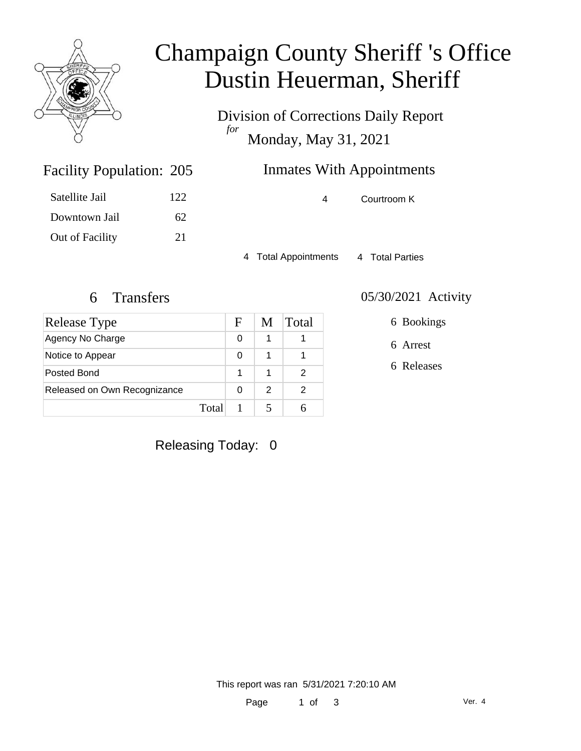

# Champaign County Sheriff 's Office Dustin Heuerman, Sheriff

Division of Corrections Daily Report *for* Monday, May 31, 2021

## Inmates With Appointments

4 Courtroom K

4 Total Appointments 4 Total Parties

Facility Population: 205

Satellite Jail 122

Downtown Jail 62

Out of Facility 21

| Release Type                 |       | F | M | Total |
|------------------------------|-------|---|---|-------|
| Agency No Charge             |       | 0 | 1 |       |
| Notice to Appear             |       | 0 |   |       |
| Posted Bond                  |       |   | 1 |       |
| Released on Own Recognizance |       | O | 2 | 2     |
|                              | Total |   |   |       |

#### 6 Transfers 05/30/2021 Activity

6 Bookings

6 Arrest

6 Releases

Releasing Today: 0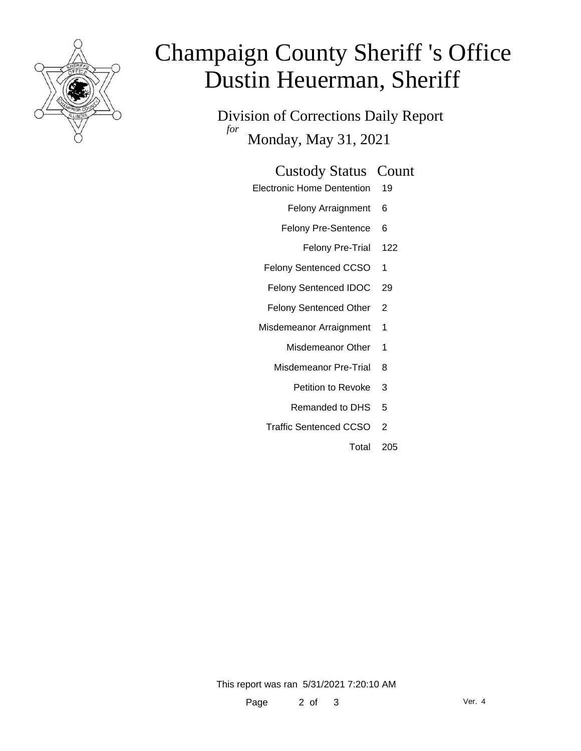

# Champaign County Sheriff 's Office Dustin Heuerman, Sheriff

Division of Corrections Daily Report *for* Monday, May 31, 2021

#### Custody Status Count

- Electronic Home Dentention 19
	- Felony Arraignment 6
	- Felony Pre-Sentence 6
		- Felony Pre-Trial 122
	- Felony Sentenced CCSO 1
	- Felony Sentenced IDOC 29
	- Felony Sentenced Other 2
	- Misdemeanor Arraignment 1
		- Misdemeanor Other 1
		- Misdemeanor Pre-Trial 8
			- Petition to Revoke 3
			- Remanded to DHS 5
		- Traffic Sentenced CCSO 2
			- Total 205

This report was ran 5/31/2021 7:20:10 AM